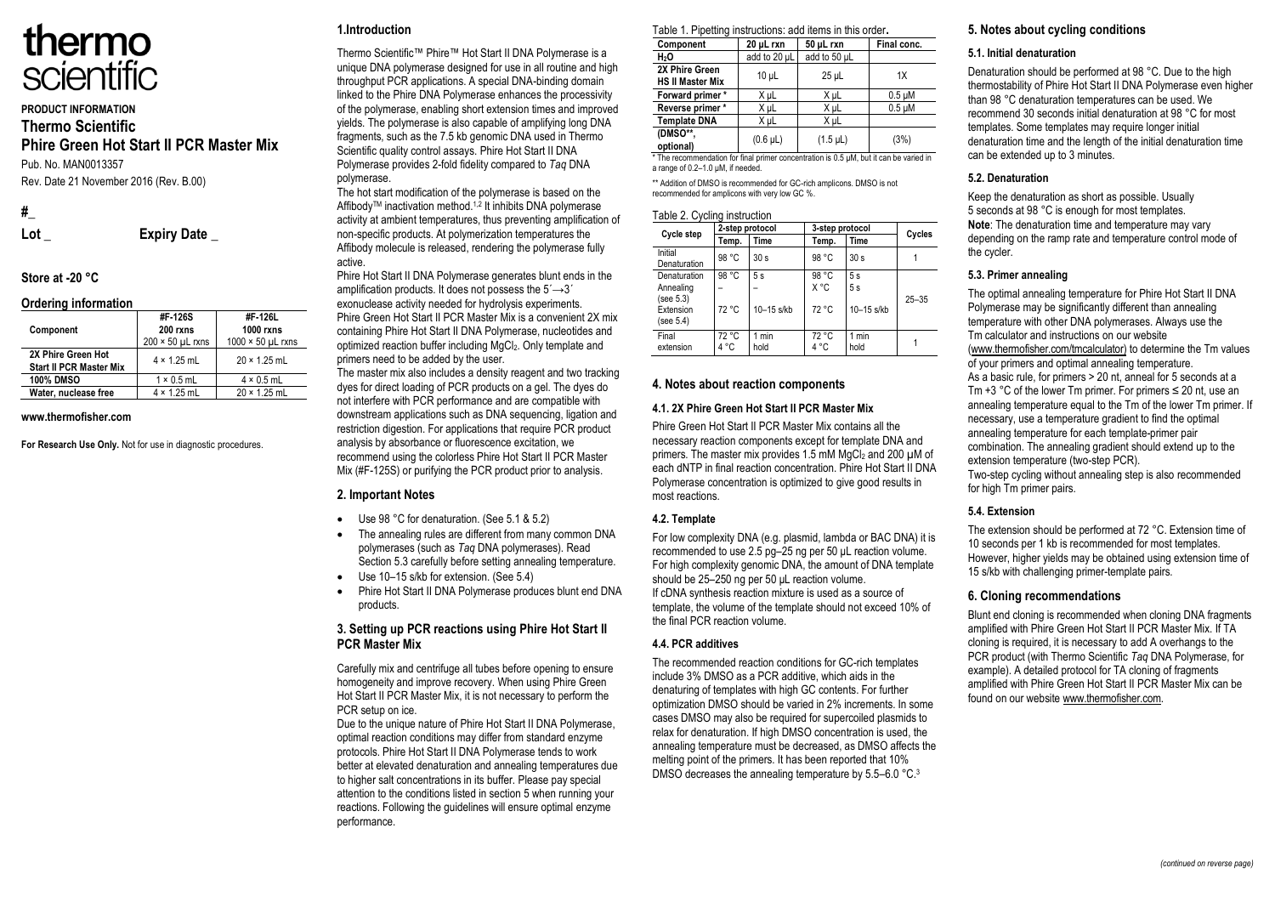

## **PRODUCT INFORMATION Thermo Scientific Phire Green Hot Start II PCR Master Mix** Pub. No. MAN0013357

Rev. Date 21 November 2016 (Rev. B.00)

**#\_**

**Lot \_ Expiry Date \_**

# **Store at -20 °C**

#### **Ordering information**

| <b>UNGHING INTO HIGHUIT</b>                          |                         |                             |
|------------------------------------------------------|-------------------------|-----------------------------|
| Component                                            | #F-126S<br>200 rxns     | #F-126L<br><b>1000 rxns</b> |
|                                                      | $200 \times 50$ µL rxns | $1000 \times 50$ µL rxns    |
| 2X Phire Green Hot<br><b>Start II PCR Master Mix</b> | $4 \times 1.25$ mL      | $20 \times 1.25$ mL         |
| <b>100% DMSO</b>                                     | $1 \times 0.5$ mL       | $4 \times 0.5$ mL           |
| Water, nuclease free                                 | $4 \times 1.25$ mL      | $20 \times 1.25$ mL         |

#### **www.thermofisher.com**

**For Research Use Only.** Not for use in diagnostic procedures.

## **1.Introduction**

Thermo Scientific™ Phire™ Hot Start II DNA Polymerase is a unique DNA polymerase designed for use in all routine and high throughput PCR applications. A special DNA-binding domain linked to the Phire DNA Polymerase enhances the processivity of the polymerase, enabling short extension times and improved yields. The polymerase is also capable of amplifying long DNA fragments, such as the 7.5 kb genomic DNA used in Thermo Scientific quality control assays. Phire Hot Start II DNA Polymerase provides 2-fold fidelity compared to *Taq* DNA polymerase.

The hot start modification of the polymerase is based on the AffibodyTM inactivation method.1,2 It inhibits DNA polymerase activity at ambient temperatures, thus preventing amplification of non-specific products. At polymerization temperatures the Affibody molecule is released, rendering the polymerase fully active.

Phire Hot Start II DNA Polymerase generates blunt ends in the amplification products. It does not possess the  $5' \rightarrow 3'$ exonuclease activity needed for hydrolysis experiments. Phire Green Hot Start II PCR Master Mix is a convenient 2X mix containing Phire Hot Start II DNA Polymerase, nucleotides and optimized reaction buffer including MgCl2. Only template and primers need to be added by the user.

The master mix also includes a density reagent and two tracking dyes for direct loading of PCR products on a gel. The dyes do not interfere with PCR performance and are compatible with downstream applications such as DNA sequencing, ligation and restriction digestion. For applications that require PCR product analysis by absorbance or fluorescence excitation, we recommend using the colorless Phire Hot Start II PCR Master Mix (#F-125S) or purifying the PCR product prior to analysis.

#### **2. Important Notes**

- Use 98 °C for denaturation. (See 5.1 & 5.2)
- The annealing rules are different from many common DNA polymerases (such as *Taq* DNA polymerases). Read Section 5.3 carefully before setting annealing temperature.
- Use 10–15 s/kb for extension. (See 5.4)
- Phire Hot Start II DNA Polymerase produces blunt end DNA products.

#### **3. Setting up PCR reactions using Phire Hot Start II PCR Master Mix**

Carefully mix and centrifuge all tubes before opening to ensure homogeneity and improve recovery. When using Phire Green Hot Start II PCR Master Mix, it is not necessary to perform the PCR setup on ice.

Due to the unique nature of Phire Hot Start II DNA Polymerase, optimal reaction conditions may differ from standard enzyme protocols. Phire Hot Start II DNA Polymerase tends to work better at elevated denaturation and annealing temperatures due to higher salt concentrations in its buffer. Please pay special attention to the conditions listed in section 5 when running your reactions. Following the guidelines will ensure optimal enzyme performance.

|  |  |  |  | Table 1. Pipetting instructions: add items in this order. |
|--|--|--|--|-----------------------------------------------------------|
|--|--|--|--|-----------------------------------------------------------|

| Component                                 | 20 µL rxn       | 50 µL rxn     | Final conc. |
|-------------------------------------------|-----------------|---------------|-------------|
| H <sub>2</sub> O                          | add to 20 µL    | add to 50 µL  |             |
| 2X Phire Green<br><b>HS II Master Mix</b> | 10 <sub>µ</sub> | $25$ µL       | 1X          |
| Forward primer*                           | X µL            | X µL          | $0.5 \mu M$ |
| Reverse primer*                           | X µL            | X µL          | $0.5 \mu M$ |
| <b>Template DNA</b>                       | X uL            | X µL          |             |
| (DMSO**,<br>optional)                     | $(0.6 \mu L)$   | $(1.5 \mu L)$ | (3%)        |

\* The recommendation for final primer concentration is 0.5 μM, but it can be varied in a range of 0.2–1.0 μM, if needed.

\*\* Addition of DMSO is recommended for GC-rich amplicons. DMSO is not recommended for amplicons with very low GC %.

#### Table 2. Cycling instruction

| Cycle step                                                       | 2-step protocol |                    | 3-step protocol        |                          | Cycles    |
|------------------------------------------------------------------|-----------------|--------------------|------------------------|--------------------------|-----------|
|                                                                  | Temp.           | Time               | Temp.                  | Time                     |           |
| Initial<br>Denaturation                                          | 98 °C           | 30 <sub>s</sub>    | 98 °C                  | 30 <sub>s</sub>          |           |
| Denaturation<br>Annealing<br>(see 5.3)<br>Extension<br>(see 5.4) | 98 °C<br>72 °C  | 5s<br>$10-15$ s/kb | 98 °C<br>X °C<br>72 °C | 5s<br>5s<br>$10-15$ s/kb | $25 - 35$ |
| Final<br>extension                                               | 72 °C<br>4 °C   | 1 min<br>hold      | 72 °C<br>4 °C          | 1 min<br>hold            |           |

#### **4. Notes about reaction components**

#### **4.1. 2X Phire Green Hot Start II PCR Master Mix**

Phire Green Hot Start II PCR Master Mix contains all the necessary reaction components except for template DNA and primers. The master mix provides 1.5 mM MgCl<sub>2</sub> and 200 uM of each dNTP in final reaction concentration. Phire Hot Start II DNA Polymerase concentration is optimized to give good results in most reactions.

#### **4.2. Template**

For low complexity DNA (e.g. plasmid, lambda or BAC DNA) it is recommended to use 2.5 pg–25 ng per 50 μL reaction volume. For high complexity genomic DNA, the amount of DNA template should be 25–250 ng per 50 uL reaction volume. If cDNA synthesis reaction mixture is used as a source of template, the volume of the template should not exceed 10% of the final PCR reaction volume.

#### **4.4. PCR additives**

The recommended reaction conditions for GC-rich templates include 3% DMSO as a PCR additive, which aids in the denaturing of templates with high GC contents. For further optimization DMSO should be varied in 2% increments. In some cases DMSO may also be required for supercoiled plasmids to relax for denaturation. If high DMSO concentration is used, the annealing temperature must be decreased, as DMSO affects the melting point of the primers. It has been reported that 10% DMSO decreases the annealing temperature by 5.5–6.0 °C.<sup>3</sup>

## **5. Notes about cycling conditions**

#### **5.1. Initial denaturation**

Denaturation should be performed at 98 °C. Due to the high thermostability of Phire Hot Start II DNA Polymerase even higher than 98 °C denaturation temperatures can be used. We recommend 30 seconds initial denaturation at 98 °C for most templates. Some templates may require longer initial denaturation time and the length of the initial denaturation time can be extended up to 3 minutes.

#### **5.2. Denaturation**

Keep the denaturation as short as possible. Usually 5 seconds at 98 °C is enough for most templates. **Note**: The denaturation time and temperature may vary depending on the ramp rate and temperature control mode of the cycler.

#### **5.3. Primer annealing**

The optimal annealing temperature for Phire Hot Start II DNA Polymerase may be significantly different than annealing temperature with other DNA polymerases. Always use the Tm calculator and instructions on our website (www.thermofisher.com/tmcalculator) to determine the Tm values of your primers and optimal annealing temperature. As a basic rule, for primers > 20 nt, anneal for 5 seconds at a Tm  $+3$  °C of the lower Tm primer. For primers  $\leq 20$  nt, use an annealing temperature equal to the Tm of the lower Tm primer. If necessary, use a temperature gradient to find the optimal annealing temperature for each template-primer pair combination. The annealing gradient should extend up to the extension temperature (two-step PCR).

Two-step cycling without annealing step is also recommended for high Tm primer pairs.

#### **5.4. Extension**

The extension should be performed at 72 °C. Extension time of 10 seconds per 1 kb is recommended for most templates. However, higher yields may be obtained using extension time of 15 s/kb with challenging primer-template pairs.

#### **6. Cloning recommendations**

Blunt end cloning is recommended when cloning DNA fragments amplified with Phire Green Hot Start II PCR Master Mix. If TA cloning is required, it is necessary to add A overhangs to the PCR product (with Thermo Scientific *Taq* DNA Polymerase, for example). A detailed protocol for TA cloning of fragments amplified with Phire Green Hot Start II PCR Master Mix can be found on our website www.thermofisher.com.